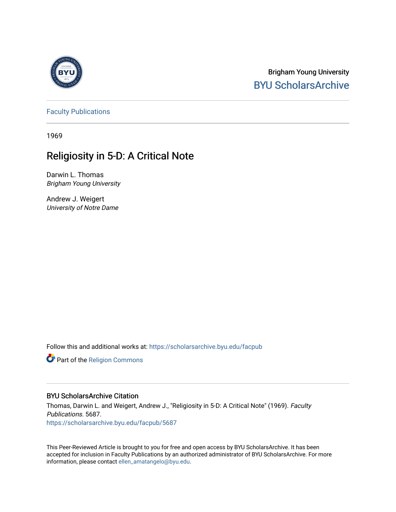

Brigham Young University [BYU ScholarsArchive](https://scholarsarchive.byu.edu/) 

[Faculty Publications](https://scholarsarchive.byu.edu/facpub)

1969

# Religiosity in 5-D: A Critical Note

Darwin L. Thomas Brigham Young University

Andrew J. Weigert University of Notre Dame

Follow this and additional works at: [https://scholarsarchive.byu.edu/facpub](https://scholarsarchive.byu.edu/facpub?utm_source=scholarsarchive.byu.edu%2Ffacpub%2F5687&utm_medium=PDF&utm_campaign=PDFCoverPages) 

Part of the [Religion Commons](http://network.bepress.com/hgg/discipline/538?utm_source=scholarsarchive.byu.edu%2Ffacpub%2F5687&utm_medium=PDF&utm_campaign=PDFCoverPages)

#### BYU ScholarsArchive Citation

Thomas, Darwin L. and Weigert, Andrew J., "Religiosity in 5-D: A Critical Note" (1969). Faculty Publications. 5687. [https://scholarsarchive.byu.edu/facpub/5687](https://scholarsarchive.byu.edu/facpub/5687?utm_source=scholarsarchive.byu.edu%2Ffacpub%2F5687&utm_medium=PDF&utm_campaign=PDFCoverPages)

This Peer-Reviewed Article is brought to you for free and open access by BYU ScholarsArchive. It has been accepted for inclusion in Faculty Publications by an authorized administrator of BYU ScholarsArchive. For more information, please contact [ellen\\_amatangelo@byu.edu.](mailto:ellen_amatangelo@byu.edu)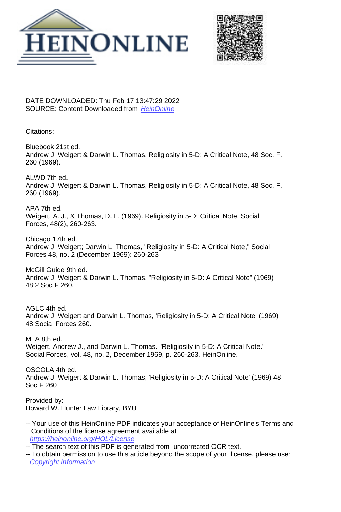



DATE DOWNLOADED: Thu Feb 17 13:47:29 2022 SOURCE: Content Downloaded from [HeinOnline](https://heinonline.org/HOL/Page?handle=hein.journals/josf48&collection=journals&id=272&startid=&endid=275)

Citations:

Bluebook 21st ed. Andrew J. Weigert & Darwin L. Thomas, Religiosity in 5-D: A Critical Note, 48 Soc. F. 260 (1969).

ALWD 7th ed. Andrew J. Weigert & Darwin L. Thomas, Religiosity in 5-D: A Critical Note, 48 Soc. F. 260 (1969).

APA 7th ed. Weigert, A. J., & Thomas, D. L. (1969). Religiosity in 5-D: Critical Note. Social Forces, 48(2), 260-263.

Chicago 17th ed. Andrew J. Weigert; Darwin L. Thomas, "Religiosity in 5-D: A Critical Note," Social Forces 48, no. 2 (December 1969): 260-263

McGill Guide 9th ed. Andrew J. Weigert & Darwin L. Thomas, "Religiosity in 5-D: A Critical Note" (1969) 48:2 Soc F 260.

AGLC 4th ed. Andrew J. Weigert and Darwin L. Thomas, 'Religiosity in 5-D: A Critical Note' (1969) 48 Social Forces 260.

MLA 8th ed. Weigert, Andrew J., and Darwin L. Thomas. "Religiosity in 5-D: A Critical Note." Social Forces, vol. 48, no. 2, December 1969, p. 260-263. HeinOnline.

OSCOLA 4th ed. Andrew J. Weigert & Darwin L. Thomas, 'Religiosity in 5-D: A Critical Note' (1969) 48 Soc F 260

Provided by: Howard W. Hunter Law Library, BYU

- -- Your use of this HeinOnline PDF indicates your acceptance of HeinOnline's Terms and Conditions of the license agreement available at <https://heinonline.org/HOL/License>
- -- The search text of this PDF is generated from uncorrected OCR text.
- -- To obtain permission to use this article beyond the scope of your license, please use: [Copyright Information](https://www.copyright.com/ccc/basicSearch.do?operation=go&searchType=0&lastSearch=simple&all=on&titleOrStdNo=0037-7732)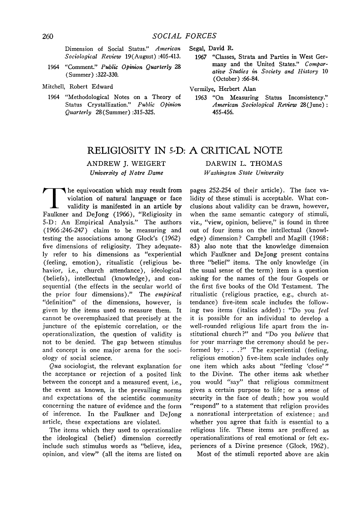Dimension of Social Status." *American Sociological Review* 19(August) :405-413.

- 1964 "Comment." *Public Opinion Quarterly 28* (Summer) **:322-330.**
- Mitchell, Robert Edward
	- 1964 "Methodological Notes on a Theory of Status Crystallization." *Public Opinion Quarterly* 28(Summer) **:315-325.**

Segal, David R.

- 1967 "Classes, Strata and Parties in West Germany and the United States." *Comparative Studies in Society and History* **10** (October) **:66-84.**
- Vermilye, Herbert Alan
	- **1963** "On Measuring Status Inconsistency." *American Sociological Review* 28(June): 455-456.

### RELIGIOSITY **IN 5,D: A** CRITICAL **NOTE**

ANDREW J. WEIGERT *University of Notre Dame*

DARWIN L. THOMAS *Washington State University*

**T** he equivocation which may result from violation of natural language or face validity is manifested in an article by Faulkner and DeJong (1966), "Religiosity in 5-D: An Empirical Analysis." The authors (1966:246-247) claim to be measuring and testing the associations among Glock's (1962) five dimensions of religiosity. They adequately refer to his dimensions as "experiential (feeling, emotion), ritualistic (religious behavior, i.e., church attendance), ideological (beliefs), intellectual (knowledge), and consequential (the effects in the secular world of the prior four dimensions)." The *empirical* "definition" of the dimensions, however, is given by the items used to measure them. It cannot be overemphasized that precisely at the juncture of the epistemic correlation, or the operationalization, the question of validity is not to be denied. The gap between stimulus and concept is one major arena for the sociology of social science.

*Qua* sociologist, the relevant explanation for the acceptance or rejection of a posited link between the concept and a measured event, i.e., the event as known, is the prevailing norms and expectations of the scientific community concerning the nature of evidence and the form of inference. In the Faulkner and Dejong article, these expectations are violated.

The items which they used to operationalize the ideological (belief) dimension correctly include such stimulus words as "believe, idea, opinion, and view" (all the items are listed on pages 252-254 of their article). The face validity of these stimuli is acceptable. What conclusions about validity can be drawn, however, when the same semantic category of stimuli, viz., "view, opinion, believe," is found in three out of four items on the intellectual (knowledge) dimension? Campbell and Magill (1968: 83) also note that the knowledge dimension which Faulkner and Dejong present contains three "belief" items. The only knowledge (in the usual sense of the term) item is a question asking for the names of the four Gospels or the first five books of the Old Testament. The ritualistic (religious practice, e.g., church attendance) five-item scale includes the following two items (italics added) : "Do you *feel* it is possible for an individual to develop a well-rounded religious life apart from the institutional church ?" and "Do you *believe* that for your marriage the ceremony should be performed by:  $\ldots$  .?" The experiential (feeling, religious emotion) five-item scale includes only one item which asks about "feeling 'close'" to the Divine. The other items ask whether you would "say" that religious commitment gives a certain purpose to life; or a sense of security in the face of death; how you would "respond" to a statement that religion provides a nonrational interpretation of existence; and whether you agree that faith is essential to a religious life. These items are proffered as operationalizations of real emotional or felt experiences of a Divine presence (Glock, 1962).

Most of the stimuli reported above are akin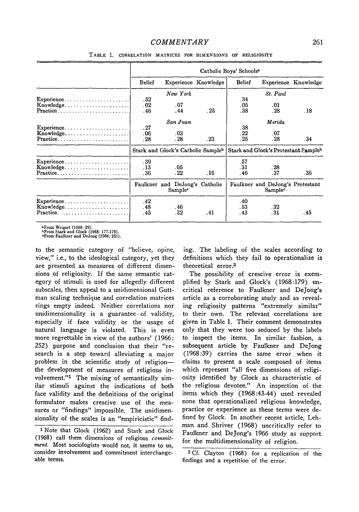| Catholic Boys' Schools <sup>a</sup>                                    |                                                                                                                                                                                                                                                                                                                                                                                                                                                                                                                                                                                                                                                                   |                   |                                                                                                     |                                 |                      |  |  |  |
|------------------------------------------------------------------------|-------------------------------------------------------------------------------------------------------------------------------------------------------------------------------------------------------------------------------------------------------------------------------------------------------------------------------------------------------------------------------------------------------------------------------------------------------------------------------------------------------------------------------------------------------------------------------------------------------------------------------------------------------------------|-------------------|-----------------------------------------------------------------------------------------------------|---------------------------------|----------------------|--|--|--|
| <b>Belief</b>                                                          |                                                                                                                                                                                                                                                                                                                                                                                                                                                                                                                                                                                                                                                                   |                   | <b>Belief</b>                                                                                       |                                 | Experience Knowledge |  |  |  |
|                                                                        | New York                                                                                                                                                                                                                                                                                                                                                                                                                                                                                                                                                                                                                                                          |                   |                                                                                                     | $St.$ Paul                      |                      |  |  |  |
|                                                                        |                                                                                                                                                                                                                                                                                                                                                                                                                                                                                                                                                                                                                                                                   |                   |                                                                                                     |                                 |                      |  |  |  |
|                                                                        |                                                                                                                                                                                                                                                                                                                                                                                                                                                                                                                                                                                                                                                                   |                   |                                                                                                     | .01                             |                      |  |  |  |
|                                                                        |                                                                                                                                                                                                                                                                                                                                                                                                                                                                                                                                                                                                                                                                   |                   |                                                                                                     |                                 | .18                  |  |  |  |
|                                                                        | San Juan                                                                                                                                                                                                                                                                                                                                                                                                                                                                                                                                                                                                                                                          |                   |                                                                                                     | Merida                          |                      |  |  |  |
| .27                                                                    |                                                                                                                                                                                                                                                                                                                                                                                                                                                                                                                                                                                                                                                                   |                   | .38                                                                                                 |                                 |                      |  |  |  |
| .06                                                                    | .03                                                                                                                                                                                                                                                                                                                                                                                                                                                                                                                                                                                                                                                               |                   | .22                                                                                                 | .07                             |                      |  |  |  |
| .28                                                                    | . 28                                                                                                                                                                                                                                                                                                                                                                                                                                                                                                                                                                                                                                                              | $.23\,$           | .25                                                                                                 | .28                             | . 34                 |  |  |  |
|                                                                        |                                                                                                                                                                                                                                                                                                                                                                                                                                                                                                                                                                                                                                                                   |                   | Stark and Glock's Protestant Sampleb                                                                |                                 |                      |  |  |  |
|                                                                        |                                                                                                                                                                                                                                                                                                                                                                                                                                                                                                                                                                                                                                                                   |                   |                                                                                                     |                                 |                      |  |  |  |
|                                                                        |                                                                                                                                                                                                                                                                                                                                                                                                                                                                                                                                                                                                                                                                   |                   |                                                                                                     |                                 |                      |  |  |  |
| .36                                                                    | .22                                                                                                                                                                                                                                                                                                                                                                                                                                                                                                                                                                                                                                                               | . 16              | .46                                                                                                 | . 37                            | . 36                 |  |  |  |
|                                                                        | Sample <sup>c</sup>                                                                                                                                                                                                                                                                                                                                                                                                                                                                                                                                                                                                                                               |                   | Faulkner and DeJong's Protestant<br>Sample <sup>c</sup>                                             |                                 |                      |  |  |  |
| .42                                                                    |                                                                                                                                                                                                                                                                                                                                                                                                                                                                                                                                                                                                                                                                   |                   | .40                                                                                                 |                                 |                      |  |  |  |
| .48                                                                    | . 46                                                                                                                                                                                                                                                                                                                                                                                                                                                                                                                                                                                                                                                              |                   | . 53                                                                                                | .32                             |                      |  |  |  |
| .45                                                                    | .32                                                                                                                                                                                                                                                                                                                                                                                                                                                                                                                                                                                                                                                               | .41               | .43                                                                                                 | . 31                            | .45                  |  |  |  |
| Practice<br>$Practice \dots \dots \dots \dots \dots \dots \dots \dots$ | .52<br>$\text{Experience} \ldots \ldots \ldots \ldots \ldots \ldots \ldots$<br>.02<br>Knowledge<br>.46<br>Practice<br>$Exercise. ________ ________ ________ ________ ________ ________ ________ ________ ________ ________ ________ ________ ________ ________ ________ ________ ________ ________ ________ ________ ________ ________ ________ ________ ________ ________ ________ ________ ________ ________ ________$<br>Knowledge<br>.39<br>$\text{Experience} \ldots \ldots \ldots \ldots \ldots$<br>.13<br>$Knowledge. \ldots \ldots \ldots \ldots \ldots \ldots$<br>Experience<br>$\text{Knowledge} \dots \dots \dots \dots \dots \dots \dots$<br>Practice | .07<br>.44<br>.05 | Experience Knowledge<br>.25<br>Stark and Glock's Catholic Sampleb<br>Faulkner and DeJong's Catholic | .34<br>.05<br>.38<br>.57<br>.31 | .28<br>.28           |  |  |  |

TABLE **1.** CORRELATION MATRICES **FOR DIMENSIONS OF** RELIGIOSITY

**&From Weigert (1968: 29). bFrom** Stark and Glock **(1968: 177-178).** -From Faulkner **and** DeJong **(1966: 251).**

to the semantic category of "believe, opine, view," i.e., to the ideological category, yet they are presented as measures of different dimensions of religiosity. If the same semantic category of stimuli is used for allegedly different subscales, then appeal to a unidimensional Guttman scaling technique and correlation matrices rings empty indeed. Neither correlations nor unidimensionality is a guarantee of validity, especially if face validity or the usage of natural language is violated. This is even more regrettable in view of the authors' (1966: 252) purpose and conclusion that their "research is a step toward alleviating a major problem in the scientific study of religionthe development of measures of religious involvement."<sup>1</sup> The mixing of semantically similar stimuli against the indications of both face validity and the definitions of the original formulator makes crescive use of the measures or "findings" impossible. The unidimensionality of the scales is an "empiricistic" find-

<sup>1</sup> Note that Glock (1962) and Stark and Glock (1968) call them dimensions of religious *commitment.* Most sociologists would not, it seems to us, consider involvement and commitment interchangeable terms.

ing. The labeling of the scales according to definitions which they fail to operationalize is theoretical error.<sup>2</sup>

The possibility of crescive error is exemplified by Stark and Glock's (1968:179) uncritical reference to Faulkner and Dejong's article as a corroborating study and as revealing religiosity patterns "extremely similar" to their own. The relevant correlations are given in Table 1. Their comment demonstrates only that they were too seduced by the labels to inspect the items. In similar fashion, a subsequent article by Faulkner and Dejong (1968:39) carries the same error when it claims to present a scale composed of items which represent "all five dimensions of religiosity identified by Glock as characteristic of the religious devotee." An inspection of the items which they (1968:43-44) used revealed none that operationalized religious knowledge, practice or experience as these terms were defined by Glock. In another recent article, Lehman and Shriver (1968) uncritically refer to Faulkner and DeJong's 1966 study as support. for the multidimensionality of religion.

**<sup>2</sup>** Cf. Clayton (1968) for a replication of the findings and a repetition of the error.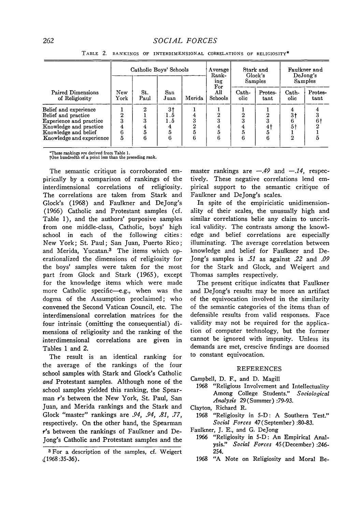|                                                                                                                                                              | Catholic Boys' Schools             |                  |                           |        | Average<br>Rank-<br>ing<br>For | Stark and<br>Glock's<br>Samples |                 | Faulkner and<br>DeJong's<br>Samples  |                 |
|--------------------------------------------------------------------------------------------------------------------------------------------------------------|------------------------------------|------------------|---------------------------|--------|--------------------------------|---------------------------------|-----------------|--------------------------------------|-----------------|
| <b>Paired Dimensions</b><br>of Religiosity                                                                                                                   | New<br>York                        | St.<br>Paul      | San<br>Juan               | Merida | All<br>Schools                 | $Cath-$<br>olic                 | Protes-<br>tant | Cath-<br>olic                        | Protes-<br>tant |
| Belief and experience<br>Belief and practice<br><b>Experience and practice</b><br>Knowledge and practice<br>Knowledge and belief<br>Knowledge and experience | $\overline{2}$<br>3<br>4<br>6<br>5 | 2<br>3<br>5<br>6 | 3†<br>1.5<br>$1.5\,$<br>6 | ß      | 6                              | 2<br>3<br>5<br>6                | 41<br>Ð<br>6    | 3†<br>5 <sup>†</sup><br>$\mathbf{2}$ | 61              |

TABLE 2. **RANKINGS** OF INTERDIMENSIONAL CORRELATIONS OF RELIGIOSITY\*

\*These rankings Pre derived from Table 1. tOne hundredth of a point less than the preceding rank.

The semantic critique is corroborated empirically by a comparison of rankings of the interdimensional correlations of religiosity. The correlations are taken from Stark and Glock's (1968) and Faulkner and Dejong's (1966) Catholic and Protestant samples (cf. Table 1), and the authors' purposive samples from one middle-class, Catholic, boys' high school in each of the following cities: New York; St. Paul; San Juan, Puerto Rico; and Merida, Yucatan.3 The items which operationalized the dimensions of religiosity for the boys' samples were taken for the most part from Glock and Stark (1965), except for the knowledge items which were made more Catholic specific-e.g., when was the dogma of the Assumption proclaimed; who convened the Second Vatican Council, etc. The interdimensional correlation matrices for the four intrinsic (omitting the consequential) dimensions of religiosity and the ranking of the interdimensional correlations are given in Tables 1 and 2.

The result is an identical ranking for the average of the rankings of the four school samples with Stark and Glock's Catholic *and* Protestant samples. Although none of the school samples yielded this ranking, the Spearman r's between the New York, St. Paul, San Juan, and Merida rankings and the Stark and Glock "master" rankings are *.94, .94, .81, .77,* respectively. On the other hand, the Spearman *r's* between the rankings of Faulkner and De-Jong's Catholic and Protestant samples and the master rankings are  $-.49$  and  $-.14$ , respectively. These negative correlations lend empirical support to the semantic critique of Faulkner and Dejong's scales.

In spite of the empiricistic unidimensionality of their scales, the unusually high and similar correlations belie any claim to uncritical validity. The contrasts among the knowledge and belief correlations are especially illuminating. The average correlation between knowledge and belief for Faulkner and De-Jong's samples is *.51* as against *.22* and *.09* for the Stark and Glock, and Weigert and Thomas samples respectively.

The present critique indicates that Faulkner and Dejong's results may be more an artifact of the equivocation involved in the similarity of the semantic categories of the items than of defensible results from valid responses. Face validity may not be required for the application of computer technology, but the former cannot be ignored with impunity. Unless its demands are met, crescive findings are doomed to constant equivocation.

#### REFERENCES

Campbell, D. F., and D. Magill

- 1968 "Religious Involvement and Intellectuality Among College Students." *Sociological Analysis* 29(Summer) :79-93.
- Clayton, Richard R.
- 1968 "Religiosity in 5-D: A Southern Test." *Social Forces* 47(September) :80-83.
- Faulkner, **J.** E., and G. Dejong
	- 1966 "Religiosity in 5-D: An Empirical Analysis." *Social Forces* 45(December) :246- 254.
	- 1968 **"A** Note on Religiosity and Moral Be-

**<sup>3</sup>** For a description of the samples, cf. Weigert (1968:35-36).